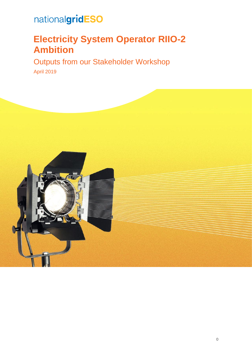## **Electricity System Operator RIIO-2 Ambition**

Outputs from our Stakeholder Workshop April 2019

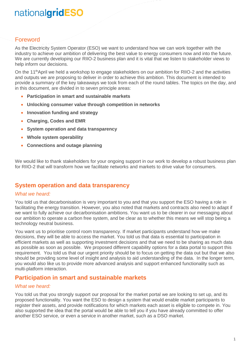### Foreword

As the Electricity System Operator (ESO) we want to understand how we can work together with the industry to achieve our ambition of delivering the best value to energy consumers now and into the future. We are currently developing our RIIO-2 business plan and it is vital that we listen to stakeholder views to help inform our decisions.

On the 11<sup>th</sup>April we held a workshop to engage stakeholders on our ambition for RIIO-2 and the activities and outputs we are proposing to deliver in order to achieve this ambition. This document is intended to provide a summary of the key takeaways we took from each of the round tables. The topics on the day, and in this document, are divided in to seven principle areas:

- **Participation in smart and sustainable markets**
- **Unlocking consumer value through competition in networks**
- **Innovation funding and strategy**
- **Charging, Codes and EMR**
- **System operation and data transparency**
- **Whole system operability**
- **Connections and outage planning**

We would like to thank stakeholders for your ongoing support in our work to develop a robust business plan for RIIO-2 that will transform how we facilitate networks and markets to drive value for consumers.

#### **System operation and data transparency**

#### *What we heard:*

You told us that decarbonisation is very important to you and that you support the ESO having a role in facilitating the energy transition. However, you also noted that markets and contracts also need to adapt if we want to fully achieve our decarbonisation ambitions. You want us to be clearer in our messaging about our ambition to operate a carbon free system, and be clear as to whether this means we will stop being a technology neutral business.

You want us to prioritise control room transparency. If market participants understand how we make decisions, they will be able to access the market. You told us that data is essential to participation in efficient markets as well as supporting investment decisions and that we need to be sharing as much data as possible as soon as possible. We proposed different capability options for a data portal to support this requirement. You told us that our urgent priority should be to focus on getting the data out but that we also should be providing some level of insight and analysis to aid understanding of the data. In the longer term, you would also like us to provide more advanced analysis and support enhanced functionality such as multi-platform interaction.

#### **Participation in smart and sustainable markets**

#### *What we heard:*

You told us that you strongly support our proposal for the market portal we are looking to set up, and its proposed functionality. You want the ESO to design a system that would enable market participants to register their assets, and provide notifications for which markets each asset is eligible to compete in. You also supported the idea that the portal would be able to tell you if you have already committed to offer another ESO service, or even a service in another market, such as a DSO market.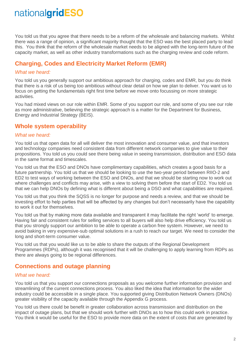You told us that you agree that there needs to be a reform of the wholesale and balancing markets. Whilst there was a range of opinion, a significant majority thought that the ESO was the best placed party to lead this. You think that the reform of the wholesale market needs to be aligned with the long-term future of the capacity market, as well as other industry transformations such as the charging review and code reform.

## **Charging, Codes and Electricity Market Reform (EMR)**

#### *What we heard:*

You told us you generally support our ambitious approach for charging, codes and EMR, but you do think that there is a risk of us being too ambitious without clear detail on how we plan to deliver. You want us to focus on getting the fundamentals right first time before we move onto focussing on more strategic activities.

You had mixed views on our role within EMR. Some of you support our role, and some of you see our role as more administrative, believing the strategic approach is a matter for the Department for Business, Energy and Industrial Strategy (BEIS).

### **Whole system operability**

#### *What we heard:*

You told us that open data for all will deliver the most innovation and consumer value, and that investors and technology companies need consistent data from different network companies to give value to their propositions. You told us you could see there being value in seeing transmission, distribution and ESO data in the same format and timescales.

You told us that the ESO and DNOs have complimentary capabilities, which creates a good basis for a future partnership. You told us that we should be looking to use the two-year period between RIIO-2 and ED2 to test ways of working between the ESO and DNOs, and that we should be starting now to work out where challenges and conflicts may arise, with a view to solving them before the start of ED2. You told us that we can help DNOs by defining what is different about being a DSO and what capabilities are required.

You told us that you think the SQSS is no longer for purpose and needs a review, and that we should be investing effort to help parties that will be affected by any changes but don't necessarily have the capability to work it out for themselves.

You told us that by making more data available and transparent it may facilitate the right 'world' to emerge. Having fair and consistent rules for selling services to all buyers will also help drive efficiency. You told us that you strongly support our ambition to be able to operate a carbon free system. However, we need to avoid baking in very expensive-sub optimal solutions in a rush to reach our target. We need to consider the long and short-term consumer value.

You told us that you would like us to be able to share the outputs of the Regional Development Programmes (RDPs), although it was recognised that it will be challenging to apply learning from RDPs as there are always going to be regional differences.

### **Connections and outage planning**

#### *What we heard:*

You told us that you support our connections proposals as you welcome further information provision and streamlining of the current connections process. You also liked the idea that information for the wider industry could be accessible in a single place. You supported giving Distribution Network Owners (DNOs) greater visibility of the capacity available through the Appendix G process.

You told us there could be benefit in greater collaboration across transmission and distribution on the impact of outage plans, but that we should work further with DNOs as to how this could work in practice. You think it would be useful for the ESO to provide more data on the extent of costs that are generated by